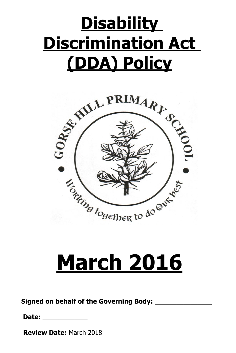## **Disability Discrimination Act (DDA) Policy**



## **March 2016**

**Signed on behalf of the Governing Body:** \_\_\_\_\_\_\_\_\_\_\_\_\_\_\_\_

**Date:** \_\_\_\_\_\_\_\_\_\_\_\_\_\_

**Review Date:** March 2018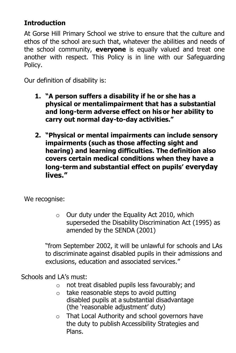## **Introduction**

At Gorse Hill Primary School we strive to ensure that the culture and ethos of the school are such that, whatever the abilities and needs of the school community, **everyone** is equally valued and treat one another with respect. This Policy is in line with our Safeguarding Policy.

Our definition of disability is:

- **1. "A person suffers a disability if he or she has a physical or mentalimpairment that has a substantial and long-term adverse effect on his or her ability to carry out normal day-to-day activities."**
- **2. "Physical or mental impairments can include sensory impairments (such as those affecting sight and hearing) and learning difficulties. The definition also covers certain medical conditions when they have a long-term and substantial effect on pupils' everyday lives."**

We recognise:

 $\circ$  Our duty under the Equality Act 2010, which superseded the Disability Discrimination Act (1995) as amended by the SENDA (2001)

"from September 2002, it will be unlawful for schools and LAs to discriminate against disabled pupils in their admissions and exclusions, education and associated services."

Schools and LA's must:

- o not treat disabled pupils less favourably; and
- o take reasonable steps to avoid putting disabled pupils at a substantial disadvantage (the 'reasonable adjustment' duty)
- o That Local Authority and school governors have the duty to publish Accessibility Strategies and Plans.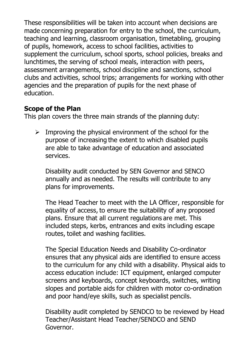These responsibilities will be taken into account when decisions are made concerning preparation for entry to the school, the curriculum, teaching and learning, classroom organisation, timetabling, grouping of pupils, homework, access to school facilities, activities to supplement the curriculum, school sports, school policies, breaks and lunchtimes, the serving of school meals, interaction with peers, assessment arrangements, school discipline and sanctions, school clubs and activities, school trips; arrangements for working with other agencies and the preparation of pupils for the next phase of education.

## **Scope of the Plan**

This plan covers the three main strands of the planning duty:

 $\triangleright$  Improving the physical environment of the school for the purpose of increasing the extent to which disabled pupils are able to take advantage of education and associated services.

Disability audit conducted by SEN Governor and SENCO annually and as needed. The results will contribute to any plans for improvements.

The Head Teacher to meet with the LA Officer, responsible for equality of access, to ensure the suitability of any proposed plans. Ensure that all current regulations are met. This included steps, kerbs, entrances and exits including escape routes, toilet and washing facilities.

The Special Education Needs and Disability Co-ordinator ensures that any physical aids are identified to ensure access to the curriculum for any child with a disability. Physical aids to access education include: ICT equipment, enlarged computer screens and keyboards, concept keyboards, switches, writing slopes and portable aids for children with motor co-ordination and poor hand/eye skills, such as specialist pencils.

Disability audit completed by SENDCO to be reviewed by Head Teacher/Assistant Head Teacher/SENDCO and SEND Governor.